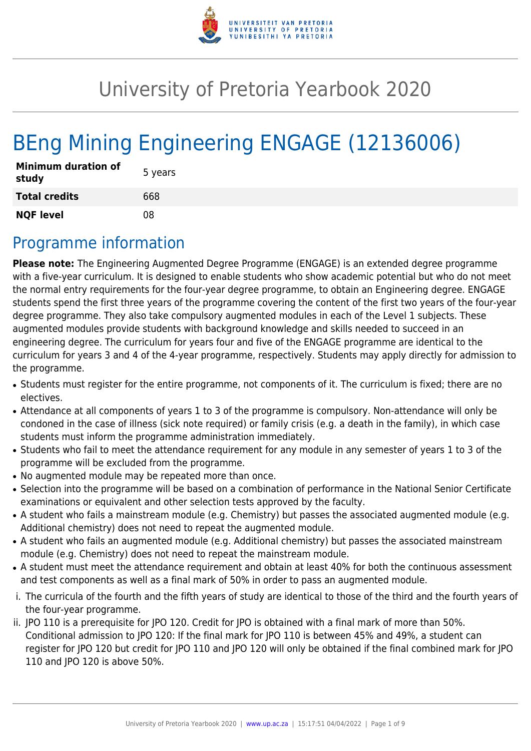

# University of Pretoria Yearbook 2020

# BEng Mining Engineering ENGAGE (12136006)

| <b>Minimum duration of</b><br>study | 5 years |
|-------------------------------------|---------|
| <b>Total credits</b>                | 668     |
| <b>NQF level</b>                    | በጸ      |

# Programme information

**Please note:** The Engineering Augmented Degree Programme (ENGAGE) is an extended degree programme with a five-year curriculum. It is designed to enable students who show academic potential but who do not meet the normal entry requirements for the four-year degree programme, to obtain an Engineering degree. ENGAGE students spend the first three years of the programme covering the content of the first two years of the four-year degree programme. They also take compulsory augmented modules in each of the Level 1 subjects. These augmented modules provide students with background knowledge and skills needed to succeed in an engineering degree. The curriculum for years four and five of the ENGAGE programme are identical to the curriculum for years 3 and 4 of the 4-year programme, respectively. Students may apply directly for admission to the programme.

- Students must register for the entire programme, not components of it. The curriculum is fixed; there are no electives.
- Attendance at all components of years 1 to 3 of the programme is compulsory. Non-attendance will only be condoned in the case of illness (sick note required) or family crisis (e.g. a death in the family), in which case students must inform the programme administration immediately.
- Students who fail to meet the attendance requirement for any module in any semester of years 1 to 3 of the programme will be excluded from the programme.
- No augmented module may be repeated more than once.
- Selection into the programme will be based on a combination of performance in the National Senior Certificate examinations or equivalent and other selection tests approved by the faculty.
- A student who fails a mainstream module (e.g. Chemistry) but passes the associated augmented module (e.g. Additional chemistry) does not need to repeat the augmented module.
- A student who fails an augmented module (e.g. Additional chemistry) but passes the associated mainstream module (e.g. Chemistry) does not need to repeat the mainstream module.
- A student must meet the attendance requirement and obtain at least 40% for both the continuous assessment and test components as well as a final mark of 50% in order to pass an augmented module.
- i. The curricula of the fourth and the fifth years of study are identical to those of the third and the fourth years of the four-year programme.
- ii. JPO 110 is a prerequisite for JPO 120. Credit for JPO is obtained with a final mark of more than 50%. Conditional admission to JPO 120: If the final mark for JPO 110 is between 45% and 49%, a student can register for JPO 120 but credit for JPO 110 and JPO 120 will only be obtained if the final combined mark for JPO 110 and JPO 120 is above 50%.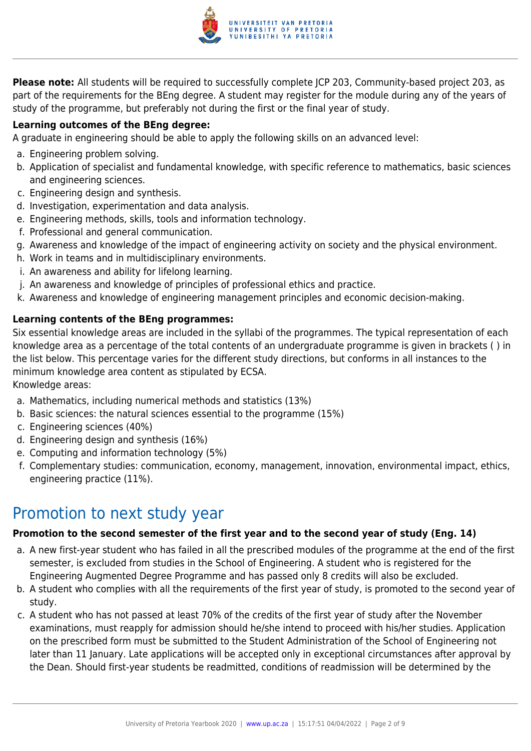

**Please note:** All students will be required to successfully complete JCP 203, Community-based project 203, as part of the requirements for the BEng degree. A student may register for the module during any of the years of study of the programme, but preferably not during the first or the final year of study.

#### **Learning outcomes of the BEng degree:**

A graduate in engineering should be able to apply the following skills on an advanced level:

- a. Engineering problem solving.
- b. Application of specialist and fundamental knowledge, with specific reference to mathematics, basic sciences and engineering sciences.
- c. Engineering design and synthesis.
- d. Investigation, experimentation and data analysis.
- e. Engineering methods, skills, tools and information technology.
- f. Professional and general communication.
- g. Awareness and knowledge of the impact of engineering activity on society and the physical environment.
- h. Work in teams and in multidisciplinary environments.
- i. An awareness and ability for lifelong learning.
- j. An awareness and knowledge of principles of professional ethics and practice.
- k. Awareness and knowledge of engineering management principles and economic decision-making.

#### **Learning contents of the BEng programmes:**

Six essential knowledge areas are included in the syllabi of the programmes. The typical representation of each knowledge area as a percentage of the total contents of an undergraduate programme is given in brackets ( ) in the list below. This percentage varies for the different study directions, but conforms in all instances to the minimum knowledge area content as stipulated by ECSA.

Knowledge areas:

- a. Mathematics, including numerical methods and statistics (13%)
- b. Basic sciences: the natural sciences essential to the programme (15%)
- c. Engineering sciences (40%)
- d. Engineering design and synthesis (16%)
- e. Computing and information technology (5%)
- f. Complementary studies: communication, economy, management, innovation, environmental impact, ethics, engineering practice (11%).

### Promotion to next study year

#### **Promotion to the second semester of the first year and to the second year of study (Eng. 14)**

- a. A new first-year student who has failed in all the prescribed modules of the programme at the end of the first semester, is excluded from studies in the School of Engineering. A student who is registered for the Engineering Augmented Degree Programme and has passed only 8 credits will also be excluded.
- b. A student who complies with all the requirements of the first year of study, is promoted to the second year of study.
- c. A student who has not passed at least 70% of the credits of the first year of study after the November examinations, must reapply for admission should he/she intend to proceed with his/her studies. Application on the prescribed form must be submitted to the Student Administration of the School of Engineering not later than 11 January. Late applications will be accepted only in exceptional circumstances after approval by the Dean. Should first-year students be readmitted, conditions of readmission will be determined by the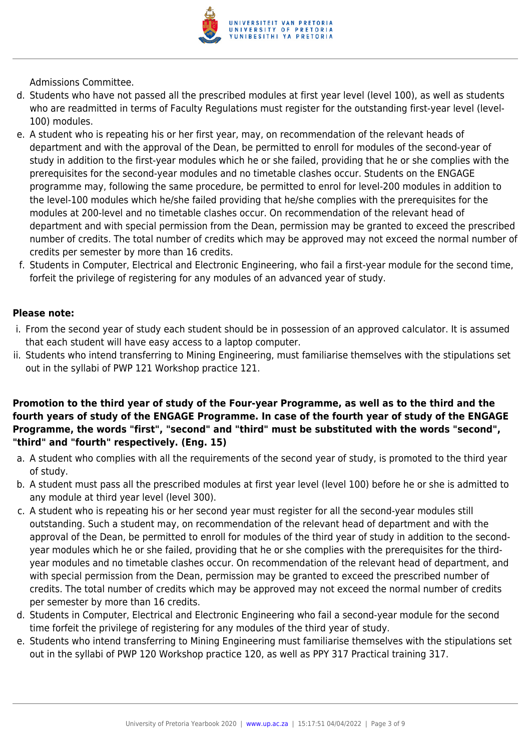

Admissions Committee.

- d. Students who have not passed all the prescribed modules at first year level (level 100), as well as students who are readmitted in terms of Faculty Regulations must register for the outstanding first-year level (level-100) modules.
- e. A student who is repeating his or her first year, may, on recommendation of the relevant heads of department and with the approval of the Dean, be permitted to enroll for modules of the second-year of study in addition to the first-year modules which he or she failed, providing that he or she complies with the prerequisites for the second-year modules and no timetable clashes occur. Students on the ENGAGE programme may, following the same procedure, be permitted to enrol for level-200 modules in addition to the level-100 modules which he/she failed providing that he/she complies with the prerequisites for the modules at 200-level and no timetable clashes occur. On recommendation of the relevant head of department and with special permission from the Dean, permission may be granted to exceed the prescribed number of credits. The total number of credits which may be approved may not exceed the normal number of credits per semester by more than 16 credits.
- f. Students in Computer, Electrical and Electronic Engineering, who fail a first-year module for the second time, forfeit the privilege of registering for any modules of an advanced year of study.

#### **Please note:**

- i. From the second year of study each student should be in possession of an approved calculator. It is assumed that each student will have easy access to a laptop computer.
- ii. Students who intend transferring to Mining Engineering, must familiarise themselves with the stipulations set out in the syllabi of PWP 121 Workshop practice 121.

#### **Promotion to the third year of study of the Four-year Programme, as well as to the third and the fourth years of study of the ENGAGE Programme. In case of the fourth year of study of the ENGAGE Programme, the words "first", "second" and "third" must be substituted with the words "second", "third" and "fourth" respectively. (Eng. 15)**

- a. A student who complies with all the requirements of the second year of study, is promoted to the third year of study.
- b. A student must pass all the prescribed modules at first year level (level 100) before he or she is admitted to any module at third year level (level 300).
- c. A student who is repeating his or her second year must register for all the second-year modules still outstanding. Such a student may, on recommendation of the relevant head of department and with the approval of the Dean, be permitted to enroll for modules of the third year of study in addition to the secondyear modules which he or she failed, providing that he or she complies with the prerequisites for the thirdyear modules and no timetable clashes occur. On recommendation of the relevant head of department, and with special permission from the Dean, permission may be granted to exceed the prescribed number of credits. The total number of credits which may be approved may not exceed the normal number of credits per semester by more than 16 credits.
- d. Students in Computer, Electrical and Electronic Engineering who fail a second-year module for the second time forfeit the privilege of registering for any modules of the third year of study.
- e. Students who intend transferring to Mining Engineering must familiarise themselves with the stipulations set out in the syllabi of PWP 120 Workshop practice 120, as well as PPY 317 Practical training 317.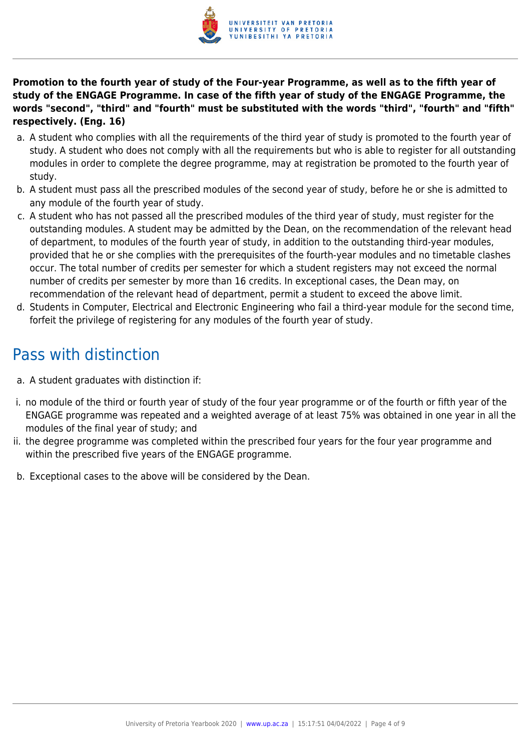

**Promotion to the fourth year of study of the Four-year Programme, as well as to the fifth year of study of the ENGAGE Programme. In case of the fifth year of study of the ENGAGE Programme, the words "second", "third" and "fourth" must be substituted with the words "third", "fourth" and "fifth" respectively. (Eng. 16)**

- a. A student who complies with all the requirements of the third year of study is promoted to the fourth year of study. A student who does not comply with all the requirements but who is able to register for all outstanding modules in order to complete the degree programme, may at registration be promoted to the fourth year of study.
- b. A student must pass all the prescribed modules of the second year of study, before he or she is admitted to any module of the fourth year of study.
- c. A student who has not passed all the prescribed modules of the third year of study, must register for the outstanding modules. A student may be admitted by the Dean, on the recommendation of the relevant head of department, to modules of the fourth year of study, in addition to the outstanding third-year modules, provided that he or she complies with the prerequisites of the fourth-year modules and no timetable clashes occur. The total number of credits per semester for which a student registers may not exceed the normal number of credits per semester by more than 16 credits. In exceptional cases, the Dean may, on recommendation of the relevant head of department, permit a student to exceed the above limit.
- d. Students in Computer, Electrical and Electronic Engineering who fail a third-year module for the second time, forfeit the privilege of registering for any modules of the fourth year of study.

# Pass with distinction

- a. A student graduates with distinction if:
- i. no module of the third or fourth year of study of the four year programme or of the fourth or fifth year of the ENGAGE programme was repeated and a weighted average of at least 75% was obtained in one year in all the modules of the final year of study; and
- ii. the degree programme was completed within the prescribed four years for the four year programme and within the prescribed five years of the ENGAGE programme.
- b. Exceptional cases to the above will be considered by the Dean.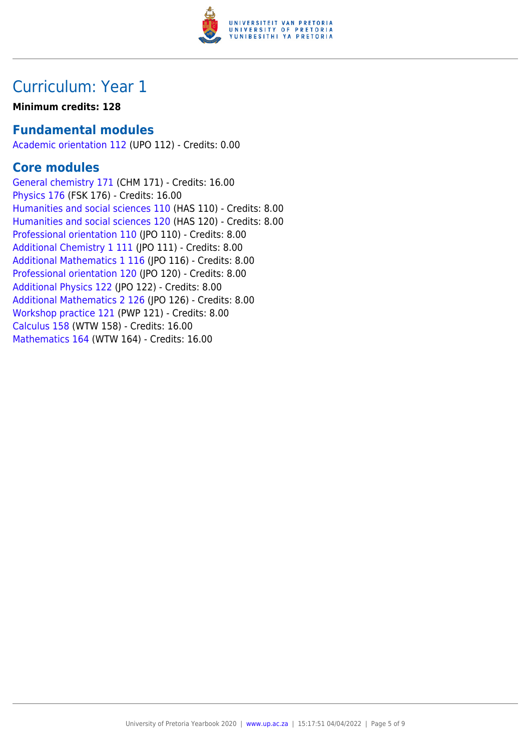

### **Minimum credits: 128**

### **Fundamental modules**

[Academic orientation 112](https://www.up.ac.za/faculty-of-education/yearbooks/2020/modules/view/UPO 112) (UPO 112) - Credits: 0.00

### **Core modules**

[General chemistry 171](https://www.up.ac.za/faculty-of-education/yearbooks/2020/modules/view/CHM 171) (CHM 171) - Credits: 16.00 [Physics 176](https://www.up.ac.za/faculty-of-education/yearbooks/2020/modules/view/FSK 176) (FSK 176) - Credits: 16.00 [Humanities and social sciences 110](https://www.up.ac.za/faculty-of-education/yearbooks/2020/modules/view/HAS 110) (HAS 110) - Credits: 8.00 [Humanities and social sciences 120](https://www.up.ac.za/faculty-of-education/yearbooks/2020/modules/view/HAS 120) (HAS 120) - Credits: 8.00 [Professional orientation 110](https://www.up.ac.za/faculty-of-education/yearbooks/2020/modules/view/JPO 110) (JPO 110) - Credits: 8.00 [Additional Chemistry 1 111](https://www.up.ac.za/faculty-of-education/yearbooks/2020/modules/view/JPO 111) (JPO 111) - Credits: 8.00 [Additional Mathematics 1 116](https://www.up.ac.za/faculty-of-education/yearbooks/2020/modules/view/JPO 116) (JPO 116) - Credits: 8.00 [Professional orientation 120](https://www.up.ac.za/faculty-of-education/yearbooks/2020/modules/view/JPO 120) (JPO 120) - Credits: 8.00 [Additional Physics 122](https://www.up.ac.za/faculty-of-education/yearbooks/2020/modules/view/JPO 122) (JPO 122) - Credits: 8.00 [Additional Mathematics 2 126](https://www.up.ac.za/faculty-of-education/yearbooks/2020/modules/view/JPO 126) (JPO 126) - Credits: 8.00 [Workshop practice 121](https://www.up.ac.za/faculty-of-education/yearbooks/2020/modules/view/PWP 121) (PWP 121) - Credits: 8.00 [Calculus 158](https://www.up.ac.za/faculty-of-education/yearbooks/2020/modules/view/WTW 158) (WTW 158) - Credits: 16.00 [Mathematics 164](https://www.up.ac.za/faculty-of-education/yearbooks/2020/modules/view/WTW 164) (WTW 164) - Credits: 16.00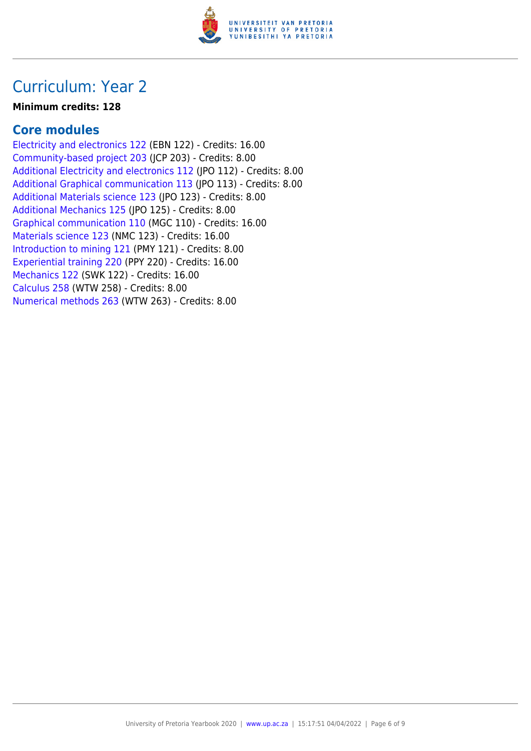

#### **Minimum credits: 128**

### **Core modules**

[Electricity and electronics 122](https://www.up.ac.za/faculty-of-education/yearbooks/2020/modules/view/EBN 122) (EBN 122) - Credits: 16.00 [Community-based project 203](https://www.up.ac.za/faculty-of-education/yearbooks/2020/modules/view/JCP 203) (JCP 203) - Credits: 8.00 [Additional Electricity and electronics 112](https://www.up.ac.za/faculty-of-education/yearbooks/2020/modules/view/JPO 112) (JPO 112) - Credits: 8.00 [Additional Graphical communication 113](https://www.up.ac.za/faculty-of-education/yearbooks/2020/modules/view/JPO 113) (JPO 113) - Credits: 8.00 [Additional Materials science 123](https://www.up.ac.za/faculty-of-education/yearbooks/2020/modules/view/JPO 123) (JPO 123) - Credits: 8.00 [Additional Mechanics 125](https://www.up.ac.za/faculty-of-education/yearbooks/2020/modules/view/JPO 125) (IPO 125) - Credits: 8.00 [Graphical communication 110](https://www.up.ac.za/faculty-of-education/yearbooks/2020/modules/view/MGC 110) (MGC 110) - Credits: 16.00 [Materials science 123](https://www.up.ac.za/faculty-of-education/yearbooks/2020/modules/view/NMC 123) (NMC 123) - Credits: 16.00 [Introduction to mining 121](https://www.up.ac.za/faculty-of-education/yearbooks/2020/modules/view/PMY 121) (PMY 121) - Credits: 8.00 [Experiential training 220](https://www.up.ac.za/faculty-of-education/yearbooks/2020/modules/view/PPY 220) (PPY 220) - Credits: 16.00 [Mechanics 122](https://www.up.ac.za/faculty-of-education/yearbooks/2020/modules/view/SWK 122) (SWK 122) - Credits: 16.00 [Calculus 258](https://www.up.ac.za/faculty-of-education/yearbooks/2020/modules/view/WTW 258) (WTW 258) - Credits: 8.00 [Numerical methods 263](https://www.up.ac.za/faculty-of-education/yearbooks/2020/modules/view/WTW 263) (WTW 263) - Credits: 8.00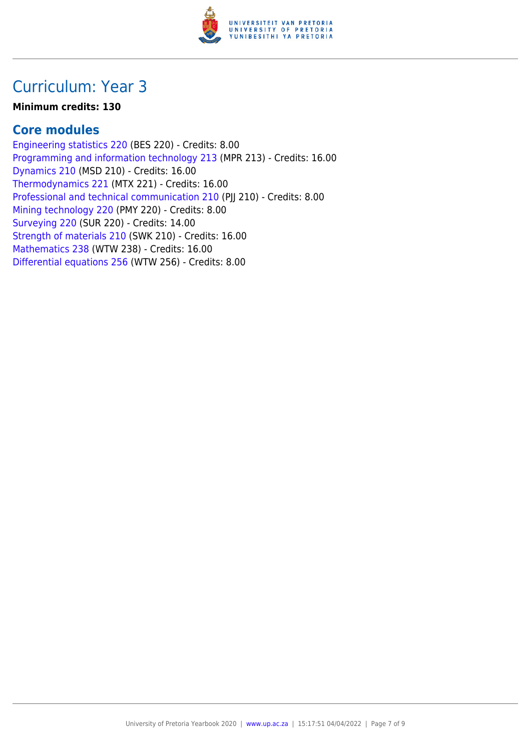

### **Minimum credits: 130**

### **Core modules**

[Engineering statistics 220](https://www.up.ac.za/faculty-of-education/yearbooks/2020/modules/view/BES 220) (BES 220) - Credits: 8.00 [Programming and information technology 213](https://www.up.ac.za/faculty-of-education/yearbooks/2020/modules/view/MPR 213) (MPR 213) - Credits: 16.00 [Dynamics 210](https://www.up.ac.za/faculty-of-education/yearbooks/2020/modules/view/MSD 210) (MSD 210) - Credits: 16.00 [Thermodynamics 221](https://www.up.ac.za/faculty-of-education/yearbooks/2020/modules/view/MTX 221) (MTX 221) - Credits: 16.00 [Professional and technical communication 210](https://www.up.ac.za/faculty-of-education/yearbooks/2020/modules/view/PJJ 210) (PJJ 210) - Credits: 8.00 [Mining technology 220](https://www.up.ac.za/faculty-of-education/yearbooks/2020/modules/view/PMY 220) (PMY 220) - Credits: 8.00 [Surveying 220](https://www.up.ac.za/faculty-of-education/yearbooks/2020/modules/view/SUR 220) (SUR 220) - Credits: 14.00 [Strength of materials 210](https://www.up.ac.za/faculty-of-education/yearbooks/2020/modules/view/SWK 210) (SWK 210) - Credits: 16.00 [Mathematics 238](https://www.up.ac.za/faculty-of-education/yearbooks/2020/modules/view/WTW 238) (WTW 238) - Credits: 16.00 [Differential equations 256](https://www.up.ac.za/faculty-of-education/yearbooks/2020/modules/view/WTW 256) (WTW 256) - Credits: 8.00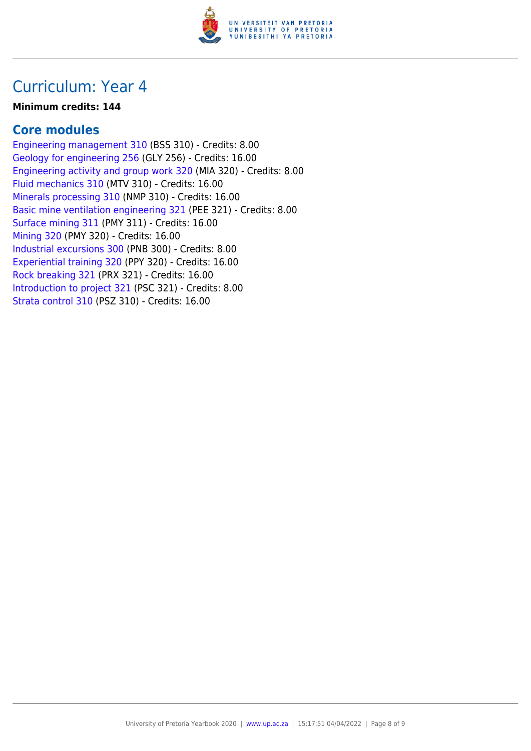

#### **Minimum credits: 144**

### **Core modules**

[Engineering management 310](https://www.up.ac.za/faculty-of-education/yearbooks/2020/modules/view/BSS 310) (BSS 310) - Credits: 8.00 [Geology for engineering 256](https://www.up.ac.za/faculty-of-education/yearbooks/2020/modules/view/GLY 256) (GLY 256) - Credits: 16.00 [Engineering activity and group work 320](https://www.up.ac.za/faculty-of-education/yearbooks/2020/modules/view/MIA 320) (MIA 320) - Credits: 8.00 [Fluid mechanics 310](https://www.up.ac.za/faculty-of-education/yearbooks/2020/modules/view/MTV 310) (MTV 310) - Credits: 16.00 [Minerals processing 310](https://www.up.ac.za/faculty-of-education/yearbooks/2020/modules/view/NMP 310) (NMP 310) - Credits: 16.00 [Basic mine ventilation engineering 321](https://www.up.ac.za/faculty-of-education/yearbooks/2020/modules/view/PEE 321) (PEE 321) - Credits: 8.00 [Surface mining 311](https://www.up.ac.za/faculty-of-education/yearbooks/2020/modules/view/PMY 311) (PMY 311) - Credits: 16.00 [Mining 320](https://www.up.ac.za/faculty-of-education/yearbooks/2020/modules/view/PMY 320) (PMY 320) - Credits: 16.00 [Industrial excursions 300](https://www.up.ac.za/faculty-of-education/yearbooks/2020/modules/view/PNB 300) (PNB 300) - Credits: 8.00 [Experiential training 320](https://www.up.ac.za/faculty-of-education/yearbooks/2020/modules/view/PPY 320) (PPY 320) - Credits: 16.00 [Rock breaking 321](https://www.up.ac.za/faculty-of-education/yearbooks/2020/modules/view/PRX 321) (PRX 321) - Credits: 16.00 [Introduction to project 321](https://www.up.ac.za/faculty-of-education/yearbooks/2020/modules/view/PSC 321) (PSC 321) - Credits: 8.00 [Strata control 310](https://www.up.ac.za/faculty-of-education/yearbooks/2020/modules/view/PSZ 310) (PSZ 310) - Credits: 16.00